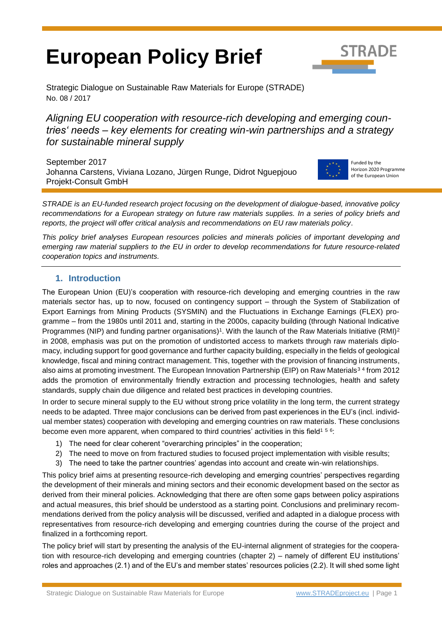# **European Policy Brief**



Strategic Dialogue on Sustainable Raw Materials for Europe (STRADE) No. 08 / 2017

*Aligning EU cooperation with resource-rich developing and emerging countries' needs – key elements for creating win-win partnerships and a strategy for sustainable mineral supply*

September 2017 Johanna Carstens, Viviana Lozano, Jürgen Runge, Didrot Nguepjouo Projekt-Consult GmbH



<span id="page-0-4"></span><span id="page-0-2"></span><span id="page-0-1"></span>Funded by the Horizon 2020 Programme of the European Union

*STRADE is an EU-funded research project focusing on the development of dialogue-based, innovative policy recommendations for a European strategy on future raw materials supplies. In a series of policy briefs and reports, the project will offer critical analysis and recommendations on EU raw materials policy*.

*This policy brief analyses European resources policies and minerals policies of important developing and emerging raw material suppliers to the EU in order to develop recommendations for future resource-related cooperation topics and instruments.* 

# <span id="page-0-0"></span>**1. Introduction**

The European Union (EU)'s cooperation with resource-rich developing and emerging countries in the raw materials sector has, up to now, focused on contingency support – through the System of Stabilization of Export Earnings from Mining Products (SYSMIN) and the Fluctuations in Exchange Earnings (FLEX) programme – from the 1980s until 2011 and, starting in the 2000s, capacity building (through National Indicative Programmes (NIP) and funding partner organisations)<sup>1</sup>. With the launch of the Raw Materials Initiative (RMI)<sup>2</sup> in 2008, emphasis was put on the promotion of undistorted access to markets through raw materials diplomacy, including support for good governance and further capacity building, especially in the fields of geological knowledge, fiscal and mining contract management. This, together with the provision of financing instruments, also aims at promoting investment. The European Innovation Partnership (EIP) on Raw Materials<sup>34</sup> from 2012 adds the promotion of environmentally friendly extraction and processing technologies, health and safety standards, supply chain due diligence and related best practices in developing countries.

In order to secure mineral supply to the EU without strong price volatility in the long term, the current strategy needs to be adapted. Three major conclusions can be derived from past experiences in the EU's (incl. individual member states) cooperation with developing and emerging countries on raw materials. These conclusions become even more apparent, when compare[d](#page-0-0) to third countries' activities in this field<sup>156</sup>:

- <span id="page-0-3"></span>1) The need for clear coherent "overarching principles" in the cooperation;
- 2) The need to move on from fractured studies to focused project implementation with visible results;
- 3) The need to take the partner countries' agendas into account and create win-win relationships.

This policy brief aims at presenting resource-rich developing and emerging countries' perspectives regarding the development of their minerals and mining sectors and their economic development based on the sector as derived from their mineral policies. Acknowledging that there are often some gaps between policy aspirations and actual measures, this brief should be understood as a starting point. Conclusions and preliminary recommendations derived from the policy analysis will be discussed, verified and adapted in a dialogue process with representatives from resource-rich developing and emerging countries during the course of the project and finalized in a forthcoming report.

The policy brief will start by presenting the analysis of the EU-internal alignment of strategies for the cooperation with resource-rich developing and emerging countries (chapter 2) – namely of different EU institutions' roles and approaches (2.1) and of the EU's and member states' resources policies (2.2). It will shed some light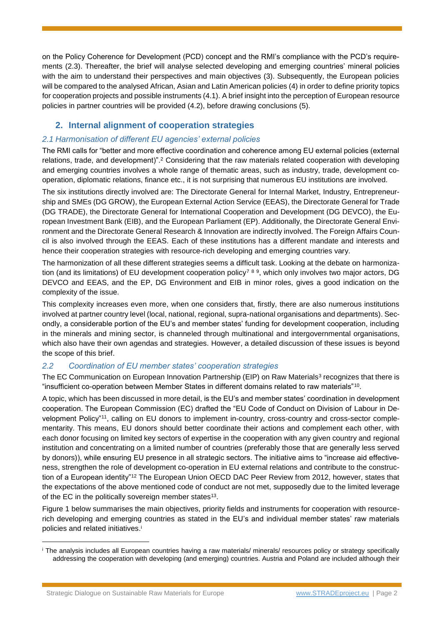on the Policy Coherence for Development (PCD) concept and the RMI's compliance with the PCD's requirements (2.3). Thereafter, the brief will analyse selected developing and emerging countries' mineral policies with the aim to understand their perspectives and main objectives (3). Subsequently, the European policies will be compared to the analysed African, Asian and Latin American policies (4) in order to define priority topics for cooperation projects and possible instruments (4.1). A brief insight into the perception of European resource policies in partner countries will be provided (4.2), before drawing conclusions (5).

# **2. Internal alignment of cooperation strategies**

# *2.1 Harmonisation of different EU agencies' external policies*

The RMI calls for "better and more effective coordination and coherence among EU external policies (external relations, trade, and development)".[2](#page-0-1) Considering that the raw materials related cooperation with developing and emerging countries involves a whole range of thematic areas, such as industry, trade, development cooperation, diplomatic relations, finance etc., it is not surprising that numerous EU institutions are involved.

The six institutions directly involved are: The Directorate General for Internal Market, Industry, Entrepreneurship and SMEs (DG GROW), the European External Action Service (EEAS), the Directorate General for Trade (DG TRADE), the Directorate General for International Cooperation and Development (DG DEVCO), the European Investment Bank (EIB), and the European Parliament (EP). Additionally, the Directorate General Environment and the Directorate General Research & Innovation are indirectly involved. The Foreign Affairs Council is also involved through the EEAS. Each of these institutions has a different mandate and interests and hence their cooperation strategies with resource-rich developing and emerging countries vary.

The harmonization of all these different strategies seems a difficult task. Looking at the debate on harmonization (and its limitations) of EU development cooperation policy<sup>789</sup>, which only involves two major actors, DG DEVCO and EEAS, and the EP, DG Environment and EIB in minor roles, gives a good indication on the complexity of the issue.

This complexity increases even more, when one considers that, firstly, there are also numerous institutions involved at partner country level (local, national, regional, supra-national organisations and departments). Secondly, a considerable portion of the EU's and member states' funding for development cooperation, including in the minerals and mining sector, is channeled through multinational and intergovernmental organisations, which also have their own agendas and strategies. However, a detailed discussion of these issues is beyond the scope of this brief.

# *2.2 Coordination of EU member states' cooperation strategies*

The EC Communication on European Innovation Partnership (EIP) on Raw Materials<sup>[3](#page-0-2)</sup> recognizes that there is "insufficient co-operation between Member States in different domains related to raw materials"<sup>10</sup> .

A topic, which has been discussed in more detail, is the EU's and member states' coordination in development cooperation. The European Commission (EC) drafted the "EU Code of Conduct on Division of Labour in Development Policy"<sup>11</sup> , calling on EU donors to implement in-country, cross-country and cross-sector complementarity. This means, EU donors should better coordinate their actions and complement each other, with each donor focusing on limited key sectors of expertise in the cooperation with any given country and regional institution and concentrating on a limited number of countries (preferably those that are generally less served by donors)), while ensuring EU presence in all strategic sectors. The initiative aims to "increase aid effectiveness, strengthen the role of development co-operation in EU external relations and contribute to the construction of a European identity"<sup>12</sup> The European Union OECD DAC Peer Review from 2012, however, states that the expectations of the above mentioned code of conduct are not met, supposedly due to the limited leverage of the EC in the politically sovereign member states<sup>13</sup>.

Figure 1 below summarises the main objectives, priority fields and instruments for cooperation with resourcerich developing and emerging countries as stated in the EU's and individual member states' raw materials policies and related initiatives. i

<sup>i</sup> The analysis includes all European countries having a raw materials/ minerals/ resources policy or strategy specifically addressing the cooperation with developing (and emerging) countries. Austria and Poland are included although their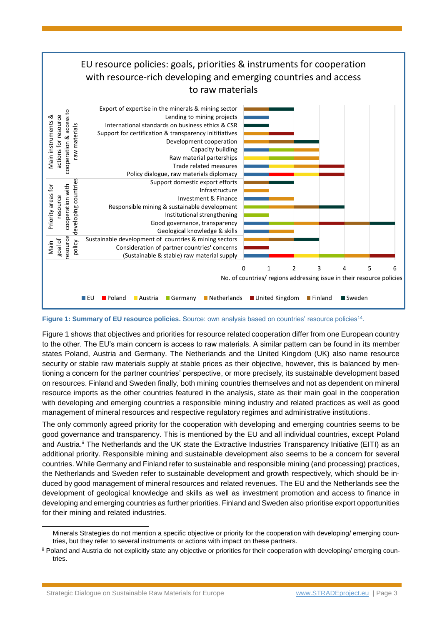

Figure 1: Summary of EU resource policies. Source: own analysis based on countries' resource policies<sup>14</sup>.

Figure 1 shows that objectives and priorities for resource related cooperation differ from one European country to the other. The EU's main concern is access to raw materials. A similar pattern can be found in its member states Poland, Austria and Germany. The Netherlands and the United Kingdom (UK) also name resource security or stable raw materials supply at stable prices as their objective, however, this is balanced by mentioning a concern for the partner countries' perspective, or more precisely, its sustainable development based on resources. Finland and Sweden finally, both mining countries themselves and not as dependent on mineral resource imports as the other countries featured in the analysis, state as their main goal in the cooperation with developing and emerging countries a responsible mining industry and related practices as well as good management of mineral resources and respective regulatory regimes and administrative institutions.

The only commonly agreed priority for the cooperation with developing and emerging countries seems to be good governance and transparency. This is mentioned by the EU and all individual countries, except Poland and Austria. ii The Netherlands and the UK state the Extractive Industries Transparency Initiative (EITI) as an additional priority. Responsible mining and sustainable development also seems to be a concern for several countries. While Germany and Finland refer to sustainable and responsible mining (and processing) practices, the Netherlands and Sweden refer to sustainable development and growth respectively, which should be induced by good management of mineral resources and related revenues. The EU and the Netherlands see the development of geological knowledge and skills as well as investment promotion and access to finance in developing and emerging countries as further priorities. Finland and Sweden also prioritise export opportunities for their mining and related industries.

Minerals Strategies do not mention a specific objective or priority for the cooperation with developing/ emerging countries, but they refer to several instruments or actions with impact on these partners.

ii Poland and Austria do not explicitly state any objective or priorities for their cooperation with developing/ emerging countries.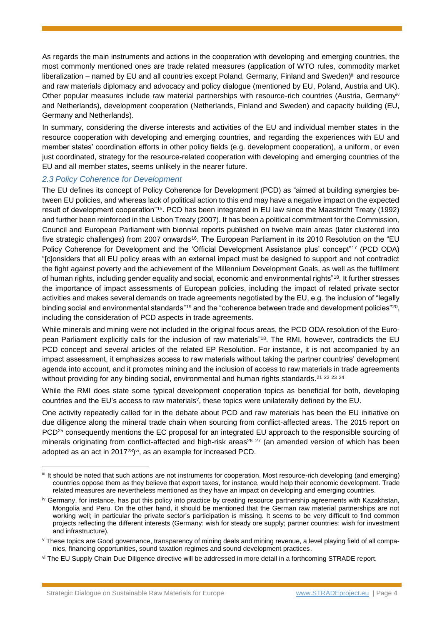As regards the main instruments and actions in the cooperation with developing and emerging countries, the most commonly mentioned ones are trade related measures (application of WTO rules, commodity market liberalization – named by EU and all countries except Poland, Germany, Finland and Sweden)<sup>iii</sup> and resource and raw materials diplomacy and advocacy and policy dialogue (mentioned by EU, Poland, Austria and UK). Other popular measures include raw material partnerships with resource-rich countries (Austria, Germanyiv and Netherlands), development cooperation (Netherlands, Finland and Sweden) and capacity building (EU, Germany and Netherlands).

In summary, considering the diverse interests and activities of the EU and individual member states in the resource cooperation with developing and emerging countries, and regarding the experiences with EU and member states' coordination efforts in other policy fields (e.g. development cooperation), a uniform, or even just coordinated, strategy for the resource-related cooperation with developing and emerging countries of the EU and all member states, seems unlikely in the nearer future.

# *2.3 Policy Coherence for Development*

The EU defines its concept of Policy Coherence for Development (PCD) as "aimed at building synergies between EU policies, and whereas lack of political action to this end may have a negative impact on the expected result of development cooperation"<sup>15</sup> . PCD has been integrated in EU law since the Maastricht Treaty (1992) and further been reinforced in the Lisbon Treaty (2007). It has been a political commitment for the Commission, Council and European Parliament with biennial reports published on twelve main areas (later clustered into five strategic challenges) from 2007 onwards<sup>16</sup>. The European Parliament in its 2010 Resolution on the "EU Policy Coherence for Development and the 'Official Development Assistance plus' concept"<sup>17</sup> (PCD ODA) "[c]onsiders that all EU policy areas with an external impact must be designed to support and not contradict the fight against poverty and the achievement of the Millennium Development Goals, as well as the fulfilment of human rights, including gender equality and social, economic and environmental rights"<sup>18</sup>. It further stresses the importance of impact assessments of European policies, including the impact of related private sector activities and makes several demands on trade agreements negotiated by the EU, e.g. the inclusion of "legally binding social and environmental standards"<sup>19</sup> and the "coherence between trade and development policies"<sup>20</sup>, including the consideration of PCD aspects in trade agreements.

<span id="page-3-0"></span>While minerals and mining were not included in the original focus areas, the PCD ODA resolution of the European Parliament explicitly calls for the inclusion of raw materials"[18](#page-3-0). The RMI, however, contradicts the EU PCD concept and several articles of the related EP Resolution. For instance, it is not accompanied by an impact assessment, it emphasizes access to raw materials without taking the partner countries' development agenda into account, and it promotes mining and the inclusion of access to raw materials in trade agreements without providing for any binding social, environmental and human rights standards.<sup>21</sup> <sup>22</sup> <sup>23</sup> <sup>24</sup>

While the RMI does state some typical development cooperation topics as beneficial for both, developing countries and the EU's access to raw materials<sup>y</sup>, these topics were unilaterally defined by the EU.

One activity repeatedly called for in the debate about PCD and raw materials has been the EU initiative on due diligence along the mineral trade chain when sourcing from conflict-affected areas. The 2015 report on PCD<sup>25</sup> consequently mentions the EC proposal for an integrated EU approach to the responsible sourcing of minerals originating from conflict-affected and high-risk areas<sup>26 27</sup> (an amended version of which has been adopted as an act in 2017<sup>28</sup>)<sup>vi</sup>, as an example for increased PCD.

iii It should be noted that such actions are not instruments for cooperation. Most resource-rich developing (and emerging) countries oppose them as they believe that export taxes, for instance, would help their economic development. Trade related measures are nevertheless mentioned as they have an impact on developing and emerging countries.

iv Germany, for instance, has put this policy into practice by creating resource partnership agreements with Kazakhstan, Mongolia and Peru. On the other hand, it should be mentioned that the German raw material partnerships are not working well; in particular the private sector's participation is missing. It seems to be very difficult to find common projects reflecting the different interests (Germany: wish for steady ore supply; partner countries: wish for investment and infrastructure).

<sup>&</sup>lt;sup>v</sup> These topics are Good governance, transparency of mining deals and mining revenue, a level playing field of all companies, financing opportunities, sound taxation regimes and sound development practices.

vi The EU Supply Chain Due Diligence directive will be addressed in more detail in a forthcoming STRADE report.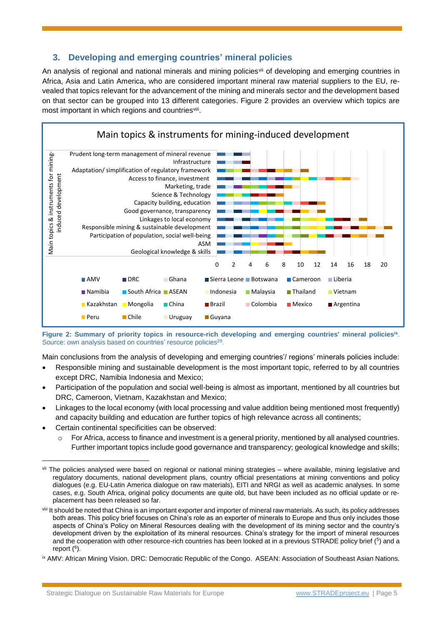# **3. Developing and emerging countries' mineral policies**

An analysis of regional and national minerals and mining policies<sup>vii</sup> of developing and emerging countries in Africa, Asia and Latin America, who are considered important mineral raw material suppliers to the EU, revealed that topics relevant for the advancement of the mining and minerals sector and the development based on that sector can be grouped into 13 different categories. Figure 2 provides an overview which topics are most important in which regions and countriesviii.



**Figure 2: Summary of priority topics in resource-rich developing and emerging countries' mineral policiesix** . Source: own analysis based on countries' resource policies<sup>29</sup>.

Main conclusions from the analysis of developing and emerging countries'/ regions' minerals policies include:

- Responsible mining and sustainable development is the most important topic, referred to by all countries except DRC, Namibia Indonesia and Mexico;
- Participation of the population and social well-being is almost as important, mentioned by all countries but DRC, Cameroon, Vietnam, Kazakhstan and Mexico;
- Linkages to the local economy (with local processing and value addition being mentioned most frequently) and capacity building and education are further topics of high relevance across all continents;
- Certain continental specificities can be observed:

l

 $\circ$  For Africa, access to finance and investment is a general priority, mentioned by all analysed countries. Further important topics include good governance and transparency; geological knowledge and skills;

vii The policies analysed were based on regional or national mining strategies – where available, mining legislative and regulatory documents, national development plans, country official presentations at mining conventions and policy dialogues (e.g. EU-Latin America dialogue on raw materials), EITI and NRGI as well as academic analyses. In some cases, e.g. South Africa, original policy documents are quite old, but have been included as no official update or replacement has been released so far.

viii It should be noted that China is an important exporter and importer of mineral raw materials. As such, its policy addresses both areas. This policy brief focuses on China's role as an exporter of minerals to Europe and thus only includes those aspects of China's Policy on Mineral Resources dealing with the development of its mining sector and the country's development driven by the exploitation of its mineral resources. China's strategy for the import of mineral resources and the cooperation with other resource-rich countries has been looked at in a previous STRADE policy brief  $(5)$  $(5)$  $(5)$  and a report (<sup>6</sup>[\)](#page-0-4).

ix AMV: African Mining Vision. DRC: Democratic Republic of the Congo. ASEAN: Association of Southeast Asian Nations.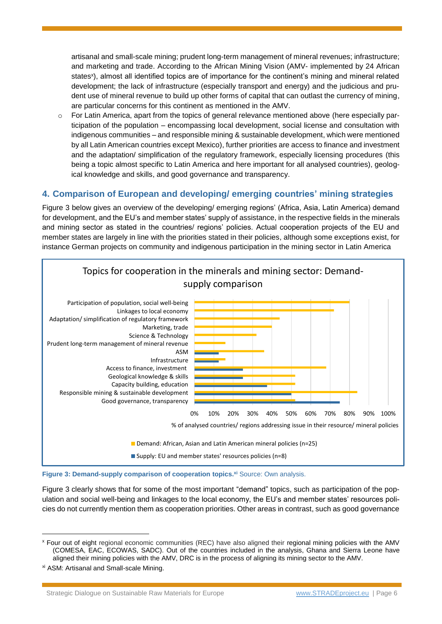artisanal and small-scale mining; prudent long-term management of mineral revenues; infrastructure; and marketing and trade. According to the African Mining Vision (AMV- implemented by 24 African states<sup>x</sup>), almost all identified topics are of importance for the continent's mining and mineral related development; the lack of infrastructure (especially transport and energy) and the judicious and prudent use of mineral revenue to build up other forms of capital that can outlast the currency of mining, are particular concerns for this continent as mentioned in the AMV.

 $\circ$  For Latin America, apart from the topics of general relevance mentioned above (here especially participation of the population – encompassing local development, social license and consultation with indigenous communities – and responsible mining & sustainable development, which were mentioned by all Latin American countries except Mexico), further priorities are access to finance and investment and the adaptation/ simplification of the regulatory framework, especially licensing procedures (this being a topic almost specific to Latin America and here important for all analysed countries), geological knowledge and skills, and good governance and transparency.

# **4. Comparison of European and developing/ emerging countries' mining strategies**

Figure 3 below gives an overview of the developing/ emerging regions' (Africa, Asia, Latin America) demand for development, and the EU's and member states' supply of assistance, in the respective fields in the minerals and mining sector as stated in the countries/ regions' policies. Actual cooperation projects of the EU and member states are largely in line with the priorities stated in their policies, although some exceptions exist, for instance German projects on community and indigenous participation in the mining sector in Latin America





Figure 3 clearly shows that for some of the most important "demand" topics, such as participation of the population and social well-being and linkages to the local economy, the EU's and member states' resources policies do not currently mention them as cooperation priorities. Other areas in contrast, such as good governance

<sup>x</sup> Four out of eight regional economic communities (REC) have also aligned their regional mining policies with the AMV (COMESA, EAC, ECOWAS, SADC). Out of the countries included in the analysis, Ghana and Sierra Leone have aligned their mining policies with the AMV, DRC is in the process of aligning its mining sector to the AMV.

xi ASM: Artisanal and Small-scale Mining.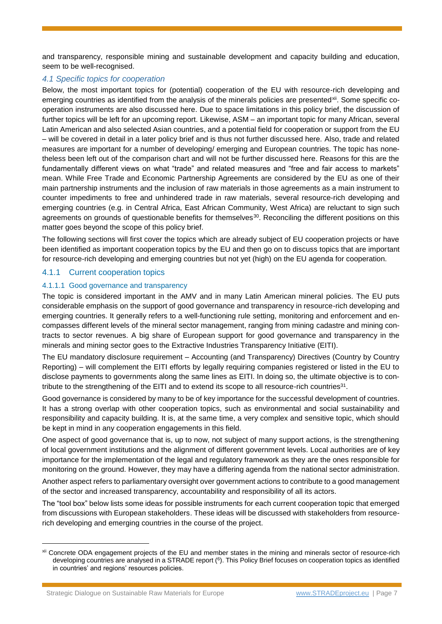and transparency, responsible mining and sustainable development and capacity building and education, seem to be well-recognised.

# *4.1 Specific topics for cooperation*

Below, the most important topics for (potential) cooperation of the EU with resource-rich developing and emerging countries as identified from the analysis of the minerals policies are presented<sup>xii</sup>. Some specific cooperation instruments are also discussed here. Due to space limitations in this policy brief, the discussion of further topics will be left for an upcoming report. Likewise, ASM – an important topic for many African, several Latin American and also selected Asian countries, and a potential field for cooperation or support from the EU – will be covered in detail in a later policy brief and is thus not further discussed here. Also, trade and related measures are important for a number of developing/ emerging and European countries. The topic has nonetheless been left out of the comparison chart and will not be further discussed here. Reasons for this are the fundamentally different views on what "trade" and related measures and "free and fair access to markets" mean. While Free Trade and Economic Partnership Agreements are considered by the EU as one of their main partnership instruments and the inclusion of raw materials in those agreements as a main instrument to counter impediments to free and unhindered trade in raw materials, several resource-rich developing and emerging countries (e.g. in Central Africa, East African Community, West Africa) are reluctant to sign such agreements on grounds of questionable benefits for themselves<sup>30</sup>. Reconciling the different positions on this matter goes beyond the scope of this policy brief.

The following sections will first cover the topics which are already subject of EU cooperation projects or have been identified as important cooperation topics by the EU and then go on to discuss topics that are important for resource-rich developing and emerging countries but not yet (high) on the EU agenda for cooperation.

# 4.1.1 Current cooperation topics

# 4.1.1.1 Good governance and transparency

The topic is considered important in the AMV and in many Latin American mineral policies. The EU puts considerable emphasis on the support of good governance and transparency in resource-rich developing and emerging countries. It generally refers to a well-functioning rule setting, monitoring and enforcement and encompasses different levels of the mineral sector management, ranging from mining cadastre and mining contracts to sector revenues. A big share of European support for good governance and transparency in the minerals and mining sector goes to the Extractive Industries Transparency Initiative (EITI).

The EU mandatory disclosure requirement – Accounting (and Transparency) Directives (Country by Country Reporting) – will complement the EITI efforts by legally requiring companies registered or listed in the EU to disclose payments to governments along the same lines as EITI. In doing so, the ultimate objective is to contribute to the strengthening of the EITI and to extend its scope to all resource-rich countries<sup>31</sup>.

Good governance is considered by many to be of key importance for the successful development of countries. It has a strong overlap with other cooperation topics, such as environmental and social sustainability and responsibility and capacity building. It is, at the same time, a very complex and sensitive topic, which should be kept in mind in any cooperation engagements in this field.

One aspect of good governance that is, up to now, not subject of many support actions, is the strengthening of local government institutions and the alignment of different government levels. Local authorities are of key importance for the implementation of the legal and regulatory framework as they are the ones responsible for monitoring on the ground. However, they may have a differing agenda from the national sector administration.

Another aspect refers to parliamentary oversight over government actions to contribute to a good management of the sector and increased transparency, accountability and responsibility of all its actors.

The "tool box" below lists some ideas for possible instruments for each current cooperation topic that emerged from discussions with European stakeholders. These ideas will be discussed with stakeholders from resourcerich developing and emerging countries in the course of the project.

xii Concrete ODA engagement projects of the EU and member states in the mining and minerals sector of resource-rich developing countries are analysed in a STRADE report (<sup>6</sup>[\)](#page-0-4). This Policy Brief focuses on cooperation topics as identified in countries' and regions' resources policies.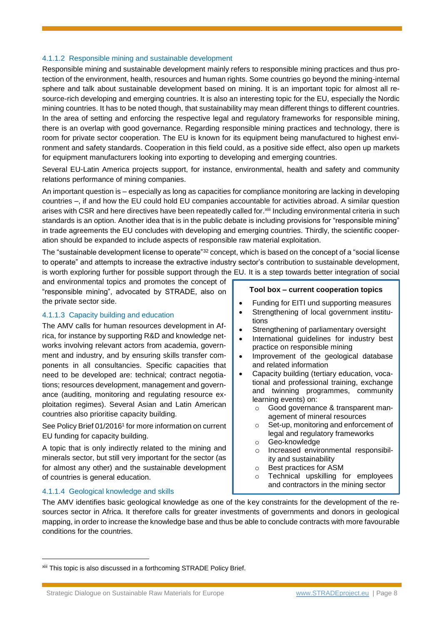# 4.1.1.2 Responsible mining and sustainable development

Responsible mining and sustainable development mainly refers to responsible mining practices and thus protection of the environment, health, resources and human rights. Some countries go beyond the mining-internal sphere and talk about sustainable development based on mining. It is an important topic for almost all resource-rich developing and emerging countries. It is also an interesting topic for the EU, especially the Nordic mining countries. It has to be noted though, that sustainability may mean different things to different countries. In the area of setting and enforcing the respective legal and regulatory frameworks for responsible mining, there is an overlap with good governance. Regarding responsible mining practices and technology, there is room for private sector cooperation. The EU is known for its equipment being manufactured to highest environment and safety standards. Cooperation in this field could, as a positive side effect, also open up markets for equipment manufacturers looking into exporting to developing and emerging countries.

Several EU-Latin America projects support, for instance, environmental, health and safety and community relations performance of mining companies.

An important question is – especially as long as capacities for compliance monitoring are lacking in developing countries –, if and how the EU could hold EU companies accountable for activities abroad. A similar question arises with CSR and here directives have been repeatedly called for.<sup>xiii</sup> Including environmental criteria in such standards is an option. Another idea that is in the public debate is including provisions for "responsible mining" in trade agreements the EU concludes with developing and emerging countries. Thirdly, the scientific cooperation should be expanded to include aspects of responsible raw material exploitation.

The "sustainable development license to operate"<sup>32</sup> concept, which is based on the concept of a "social license to operate" and attempts to increase the extractive industry sector's contribution to sustainable development, is worth exploring further for possible support through the EU. It is a step towards better integration of social

and environmental topics and promotes the concept of "responsible mining", advocated by STRADE, also on the private sector side.

# 4.1.1.3 Capacity building and education

The AMV calls for human resources development in Africa, for instance by supporting R&D and knowledge networks involving relevant actors from academia, government and industry, and by ensuring skills transfer components in all consultancies. Specific capacities that need to be developed are: technical; contract negotiations; resources development, management and governance (auditing, monitoring and regulating resource exploitation regimes). Several Asian and Latin American countries also prioritise capacity building.

See Policy Brief 0[1](#page-0-0)/2016<sup>1</sup> for more information on current EU funding for capacity building.

A topic that is only indirectly related to the mining and minerals sector, but still very important for the sector (as for almost any other) and the sustainable development of countries is general education.

# **Tool box – current cooperation topics**

- Funding for EITI und supporting measures
- Strengthening of local government institutions
- Strengthening of parliamentary oversight
- International guidelines for industry best practice on responsible mining
- Improvement of the geological database and related information
- Capacity building (tertiary education, vocational and professional training, exchange and twinning programmes, community learning events) on:
	- o Good governance & transparent management of mineral resources
	- o Set-up, monitoring and enforcement of legal and regulatory frameworks
	- o Geo-knowledge
	- o Increased environmental responsibility and sustainability
	- o Best practices for ASM
	- o Technical upskilling for employees and contractors in the mining sector

## 4.1.1.4 Geological knowledge and skills

l

The AMV identifies basic geological knowledge as one of the key constraints for the development of the resources sector in Africa. It therefore calls for greater investments of governments and donors in geological mapping, in order to increase the knowledge base and thus be able to conclude contracts with more favourable conditions for the countries.

xiii This topic is also discussed in a forthcoming STRADE Policy Brief.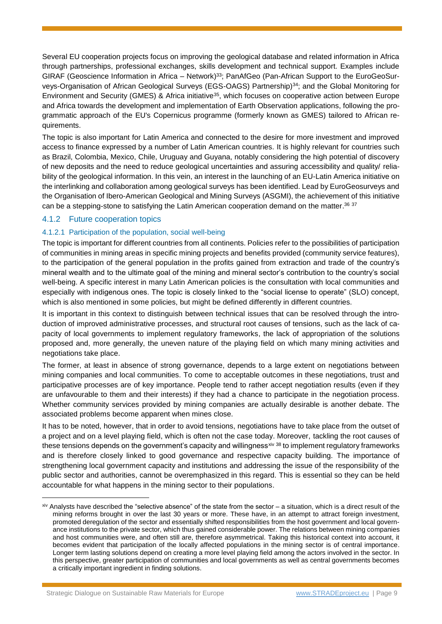Several EU cooperation projects focus on improving the geological database and related information in Africa through partnerships, professional exchanges, skills development and technical support. Examples include GIRAF (Geoscience Information in Africa – Network)<sup>33</sup>; PanAfGeo (Pan-African Support to the EuroGeoSurveys-Organisation of African Geological Surveys (EGS-OAGS) Partnership) <sup>34</sup>; and the Global Monitoring for Environment and Security (GMES) & Africa initiative<sup>35</sup>, which focuses on cooperative action between Europe and Africa towards the development and implementation of Earth Observation applications, following the programmatic approach of the EU's Copernicus programme (formerly known as GMES) tailored to African requirements.

The topic is also important for Latin America and connected to the desire for more investment and improved access to finance expressed by a number of Latin American countries. It is highly relevant for countries such as Brazil, Colombia, Mexico, Chile, Uruguay and Guyana, notably considering the high potential of discovery of new deposits and the need to reduce geological uncertainties and assuring accessibility and quality/ reliability of the geological information. In this vein, an interest in the launching of an EU-Latin America initiative on the interlinking and collaboration among geological surveys has been identified. Lead by EuroGeosurveys and the Organisation of Ibero-American Geological and Mining Surveys (ASGMI), the achievement of this initiative can be a stepping-stone to satisfying the Latin American cooperation demand on the matter.<sup>36 37</sup>

# 4.1.2 Future cooperation topics

# 4.1.2.1 Participation of the population, social well-being

The topic is important for different countries from all continents. Policies refer to the possibilities of participation of communities in mining areas in specific mining projects and benefits provided (community service features), to the participation of the general population in the profits gained from extraction and trade of the country's mineral wealth and to the ultimate goal of the mining and mineral sector's contribution to the country's social well-being. A specific interest in many Latin American policies is the consultation with local communities and especially with indigenous ones. The topic is closely linked to the "social license to operate" (SLO) concept, which is also mentioned in some policies, but might be defined differently in different countries.

It is important in this context to distinguish between technical issues that can be resolved through the introduction of improved administrative processes, and structural root causes of tensions, such as the lack of capacity of local governments to implement regulatory frameworks, the lack of appropriation of the solutions proposed and, more generally, the uneven nature of the playing field on which many mining activities and negotiations take place.

The former, at least in absence of strong governance, depends to a large extent on negotiations between mining companies and local communities. To come to acceptable outcomes in these negotiations, trust and participative processes are of key importance. People tend to rather accept negotiation results (even if they are unfavourable to them and their interests) if they had a chance to participate in the negotiation process. Whether community services provided by mining companies are actually desirable is another debate. The associated problems become apparent when mines close.

It has to be noted, however, that in order to avoid tensions, negotiations have to take place from the outset of a project and on a level playing field, which is often not the case today. Moreover, tackling the root causes of these tensions depends on the government's capacity and willingnessxiv 38 to implement regulatory frameworks and is therefore closely linked to good governance and respective capacity building. The importance of strengthening local government capacity and institutions and addressing the issue of the responsibility of the public sector and authorities, cannot be overemphasized in this regard. This is essential so they can be held accountable for what happens in the mining sector to their populations.

xiv Analysts have described the "selective absence" of the state from the sector – a situation, which is a direct result of the mining reforms brought in over the last 30 years or more. These have, in an attempt to attract foreign investment, promoted deregulation of the sector and essentially shifted responsibilities from the host government and local governance institutions to the private sector, which thus gained considerable power. The relations between mining companies and host communities were, and often still are, therefore asymmetrical. Taking this historical context into account, it becomes evident that participation of the locally affected populations in the mining sector is of central importance. Longer term lasting solutions depend on creating a more level playing field among the actors involved in the sector. In this perspective, greater participation of communities and local governments as well as central governments becomes a critically important ingredient in finding solutions.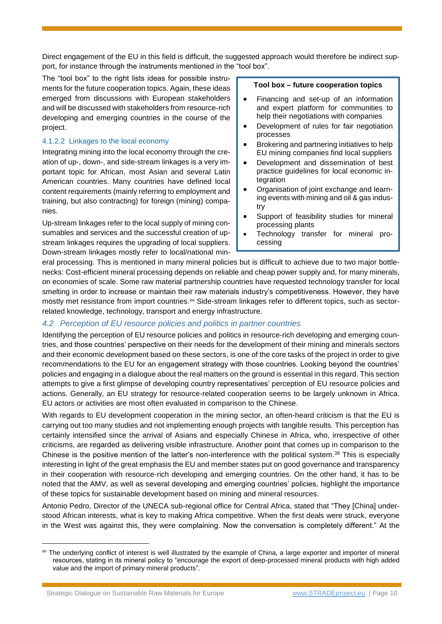Direct engagement of the EU in this field is difficult, the suggested approach would therefore be indirect support, for instance through the instruments mentioned in the "tool box".

The "tool box" to the right lists ideas for possible instruments for the future cooperation topics. Again, these ideas emerged from discussions with European stakeholders and will be discussed with stakeholders from resource-rich developing and emerging countries in the course of the project.

# 4.1.2.2 Linkages to the local economy

Integrating mining into the local economy through the creation of up-, down-, and side-stream linkages is a very important topic for African, most Asian and several Latin American countries. Many countries have defined local content requirements (mainly referring to employment and training, but also contracting) for foreign (mining) companies.

Up-stream linkages refer to the local supply of mining consumables and services and the successful creation of upstream linkages requires the upgrading of local suppliers. Down-stream linkages mostly refer to local/national min-

# **Tool box – future cooperation topics**

- Financing and set-up of an information and expert platform for communities to help their negotiations with companies
- Development of rules for fair negotiation processes
- Brokering and partnering initiatives to help EU mining companies find local suppliers
- Development and dissemination of best practice guidelines for local economic integration
- Organisation of joint exchange and learning events with mining and oil & gas industry
- Support of feasibility studies for mineral processing plants
- Technology transfer for mineral processing

eral processing. This is mentioned in many mineral policies but is difficult to achieve due to two major bottlenecks: Cost-efficient mineral processing depends on reliable and cheap power supply and, for many minerals, on economies of scale. Some raw material partnership countries have requested technology transfer for local smelting in order to increase or maintain their raw materials industry's competitiveness. However, they have mostly met resistance from import countries.<sup>xv</sup> Side-stream linkages refer to different topics, such as sectorrelated knowledge, technology, transport and energy infrastructure.

# *4.2 Perception of EU resource policies and politics in partner countries*

Identifying the perception of EU resource policies and politics in resource-rich developing and emerging countries, and those countries' perspective on their needs for the development of their mining and minerals sectors and their economic development based on these sectors, is one of the core tasks of the project in order to give recommendations to the EU for an engagement strategy with those countries. Looking beyond the countries' policies and engaging in a dialogue about the real matters on the ground is essential in this regard. This section attempts to give a first glimpse of developing country representatives' perception of EU resource policies and actions. Generally, an EU strategy for resource-related cooperation seems to be largely unknown in Africa. EU actors or activities are most often evaluated in comparison to the Chinese.

With regards to EU development cooperation in the mining sector, an often-heard criticism is that the EU is carrying out too many studies and not implementing enough projects with tangible results. This perception has certainly intensified since the arrival of Asians and especially Chinese in Africa, who, irrespective of other criticisms, are regarded as delivering visible infrastructure. Another point that comes up in comparison to the Chinese is the positive mention of the latter's non-interference with the political system. <sup>39</sup> This is especially interesting in light of the great emphasis the EU and member states put on good governance and transparency in their cooperation with resource-rich developing and emerging countries. On the other hand, it has to be noted that the AMV, as well as several developing and emerging countries' policies, highlight the importance of these topics for sustainable development based on mining and mineral resources.

Antonio Pedro, Director of the UNECA sub-regional office for Central Africa, stated that "They [China] understood African interests, what is key to making Africa competitive. When the first deals were struck, everyone in the West was against this, they were complaining. Now the conversation is completely different." At the

xv The underlying conflict of interest is well illustrated by the example of China, a large exporter and importer of mineral resources, stating in its mineral policy to "encourage the export of deep-processed mineral products with high added value and the import of primary mineral products".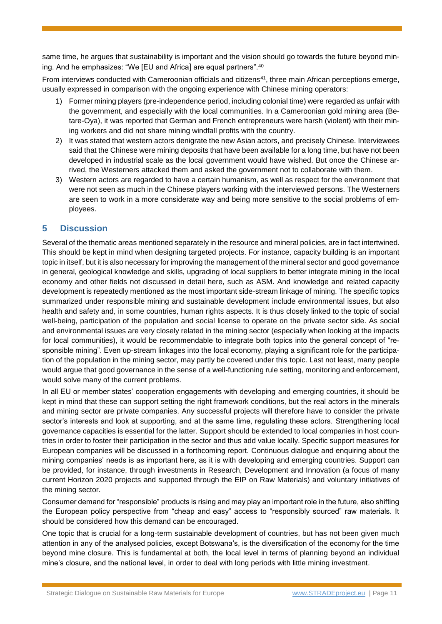same time, he argues that sustainability is important and the vision should go towards the future beyond mining. And he emphasizes: "We [EU and Africa] are equal partners".<sup>40</sup>

From interviews conducted with Cameroonian officials and citizens<sup>41</sup>, three main African perceptions emerge, usually expressed in comparison with the ongoing experience with Chinese mining operators:

- 1) Former mining players (pre-independence period, including colonial time) were regarded as unfair with the government, and especially with the local communities. In a Cameroonian gold mining area (Betare-Oya), it was reported that German and French entrepreneurs were harsh (violent) with their mining workers and did not share mining windfall profits with the country.
- 2) It was stated that western actors denigrate the new Asian actors, and precisely Chinese. Interviewees said that the Chinese were mining deposits that have been available for a long time, but have not been developed in industrial scale as the local government would have wished. But once the Chinese arrived, the Westerners attacked them and asked the government not to collaborate with them.
- 3) Western actors are regarded to have a certain humanism, as well as respect for the environment that were not seen as much in the Chinese players working with the interviewed persons. The Westerners are seen to work in a more considerate way and being more sensitive to the social problems of employees.

# **5 Discussion**

Several of the thematic areas mentioned separately in the resource and mineral policies, are in fact intertwined. This should be kept in mind when designing targeted projects. For instance, capacity building is an important topic in itself, but it is also necessary for improving the management of the mineral sector and good governance in general, geological knowledge and skills, upgrading of local suppliers to better integrate mining in the local economy and other fields not discussed in detail here, such as ASM. And knowledge and related capacity development is repeatedly mentioned as the most important side-stream linkage of mining. The specific topics summarized under responsible mining and sustainable development include environmental issues, but also health and safety and, in some countries, human rights aspects. It is thus closely linked to the topic of social well-being, participation of the population and social license to operate on the private sector side. As social and environmental issues are very closely related in the mining sector (especially when looking at the impacts for local communities), it would be recommendable to integrate both topics into the general concept of "responsible mining". Even up-stream linkages into the local economy, playing a significant role for the participation of the population in the mining sector, may partly be covered under this topic. Last not least, many people would argue that good governance in the sense of a well-functioning rule setting, monitoring and enforcement, would solve many of the current problems.

In all EU or member states' cooperation engagements with developing and emerging countries, it should be kept in mind that these can support setting the right framework conditions, but the real actors in the minerals and mining sector are private companies. Any successful projects will therefore have to consider the private sector's interests and look at supporting, and at the same time, regulating these actors. Strengthening local governance capacities is essential for the latter. Support should be extended to local companies in host countries in order to foster their participation in the sector and thus add value locally. Specific support measures for European companies will be discussed in a forthcoming report. Continuous dialogue and enquiring about the mining companies' needs is as important here, as it is with developing and emerging countries. Support can be provided, for instance, through investments in Research, Development and Innovation (a focus of many current Horizon 2020 projects and supported through the EIP on Raw Materials) and voluntary initiatives of the mining sector.

Consumer demand for "responsible" products is rising and may play an important role in the future, also shifting the European policy perspective from "cheap and easy" access to "responsibly sourced" raw materials. It should be considered how this demand can be encouraged.

One topic that is crucial for a long-term sustainable development of countries, but has not been given much attention in any of the analysed policies, except Botswana's, is the diversification of the economy for the time beyond mine closure. This is fundamental at both, the local level in terms of planning beyond an individual mine's closure, and the national level, in order to deal with long periods with little mining investment.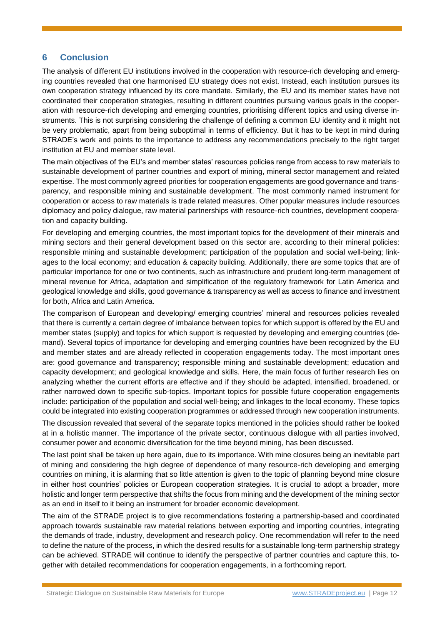# **6 Conclusion**

The analysis of different EU institutions involved in the cooperation with resource-rich developing and emerging countries revealed that one harmonised EU strategy does not exist. Instead, each institution pursues its own cooperation strategy influenced by its core mandate. Similarly, the EU and its member states have not coordinated their cooperation strategies, resulting in different countries pursuing various goals in the cooperation with resource-rich developing and emerging countries, prioritising different topics and using diverse instruments. This is not surprising considering the challenge of defining a common EU identity and it might not be very problematic, apart from being suboptimal in terms of efficiency. But it has to be kept in mind during STRADE's work and points to the importance to address any recommendations precisely to the right target institution at EU and member state level.

The main objectives of the EU's and member states' resources policies range from access to raw materials to sustainable development of partner countries and export of mining, mineral sector management and related expertise. The most commonly agreed priorities for cooperation engagements are good governance and transparency, and responsible mining and sustainable development. The most commonly named instrument for cooperation or access to raw materials is trade related measures. Other popular measures include resources diplomacy and policy dialogue, raw material partnerships with resource-rich countries, development cooperation and capacity building.

For developing and emerging countries, the most important topics for the development of their minerals and mining sectors and their general development based on this sector are, according to their mineral policies: responsible mining and sustainable development; participation of the population and social well-being; linkages to the local economy; and education & capacity building. Additionally, there are some topics that are of particular importance for one or two continents, such as infrastructure and prudent long-term management of mineral revenue for Africa, adaptation and simplification of the regulatory framework for Latin America and geological knowledge and skills, good governance & transparency as well as access to finance and investment for both, Africa and Latin America.

The comparison of European and developing/ emerging countries' mineral and resources policies revealed that there is currently a certain degree of imbalance between topics for which support is offered by the EU and member states (supply) and topics for which support is requested by developing and emerging countries (demand). Several topics of importance for developing and emerging countries have been recognized by the EU and member states and are already reflected in cooperation engagements today. The most important ones are: good governance and transparency; responsible mining and sustainable development; education and capacity development; and geological knowledge and skills. Here, the main focus of further research lies on analyzing whether the current efforts are effective and if they should be adapted, intensified, broadened, or rather narrowed down to specific sub-topics. Important topics for possible future cooperation engagements include: participation of the population and social well-being; and linkages to the local economy. These topics could be integrated into existing cooperation programmes or addressed through new cooperation instruments.

The discussion revealed that several of the separate topics mentioned in the policies should rather be looked at in a holistic manner. The importance of the private sector, continuous dialogue with all parties involved, consumer power and economic diversification for the time beyond mining, has been discussed.

The last point shall be taken up here again, due to its importance. With mine closures being an inevitable part of mining and considering the high degree of dependence of many resource-rich developing and emerging countries on mining, it is alarming that so little attention is given to the topic of planning beyond mine closure in either host countries' policies or European cooperation strategies. It is crucial to adopt a broader, more holistic and longer term perspective that shifts the focus from mining and the development of the mining sector as an end in itself to it being an instrument for broader economic development.

The aim of the STRADE project is to give recommendations fostering a partnership-based and coordinated approach towards sustainable raw material relations between exporting and importing countries, integrating the demands of trade, industry, development and research policy. One recommendation will refer to the need to define the nature of the process, in which the desired results for a sustainable long-term partnership strategy can be achieved. STRADE will continue to identify the perspective of partner countries and capture this, together with detailed recommendations for cooperation engagements, in a forthcoming report.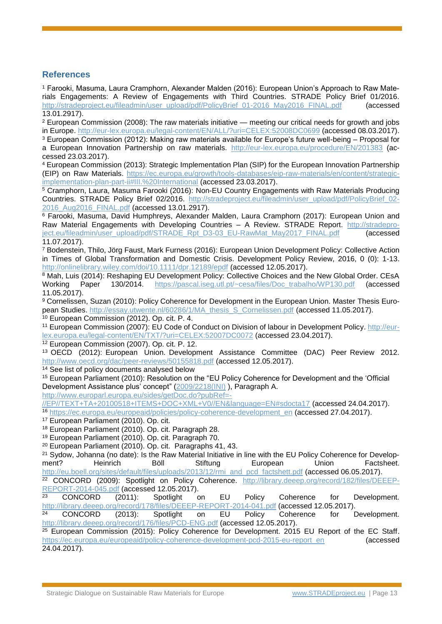# **References**

<sup>1</sup> Farooki, Masuma, Laura Cramphorn, Alexander Malden (2016): European Union's Approach to Raw Materials Engagements: A Review of Engagements with Third Countries. STRADE Policy Brief 01/2016. [http://stradeproject.eu/fileadmin/user\\_upload/pdf/PolicyBrief\\_01-2016\\_May2016\\_FINAL.pdf](http://stradeproject.eu/fileadmin/user_upload/pdf/PolicyBrief_01-2016_May2016_FINAL.pdf) (accessed 13.01.2917).

<sup>2</sup> European Commission (2008): The raw materials initiative — meeting our critical needs for growth and jobs in Europe.<http://eur-lex.europa.eu/legal-content/EN/ALL/?uri=CELEX:52008DC0699> (accessed 08.03.2017). <sup>3</sup> European Commission (2012): Making raw materials available for Europe's future well-being – Proposal for a European Innovation Partnership on raw materials. <http://eur-lex.europa.eu/procedure/EN/201383> (accessed 23.03.2017).

<sup>4</sup> European Commission (2013): Strategic Implementation Plan (SIP) for the European Innovation Partnership (EIP) on Raw Materials. [https://ec.europa.eu/growth/tools-databases/eip-raw-materials/en/content/strategic](https://ec.europa.eu/growth/tools-databases/eip-raw-materials/en/content/strategic-implementation-plan-part-ii#III.%20International)[implementation-plan-part-ii#III.%20International](https://ec.europa.eu/growth/tools-databases/eip-raw-materials/en/content/strategic-implementation-plan-part-ii#III.%20International) (accessed 23.03.2017).

<sup>5</sup> Cramphorn, Laura, Masuma Farooki (2016): Non-EU Country Engagements with Raw Materials Producing Countries. STRADE Policy Brief 02/2016. [http://stradeproject.eu/fileadmin/user\\_upload/pdf/PolicyBrief\\_02-](http://stradeproject.eu/fileadmin/user_upload/pdf/PolicyBrief_02-2016_Aug2016_FINAL.pdf) [2016\\_Aug2016\\_FINAL.pdf](http://stradeproject.eu/fileadmin/user_upload/pdf/PolicyBrief_02-2016_Aug2016_FINAL.pdf) (accessed 13.01.2917).

<sup>6</sup> Farooki, Masuma, David Humphreys, Alexander Malden, Laura Cramphorn (2017): European Union and Raw Material Engagements with Developing Countries - A Review. STRADE Report. [http://stradepro](http://stradeproject.eu/fileadmin/user_upload/pdf/STRADE_Rpt_D3-03_EU-RawMat_May2017_FINAL.pdf)[ject.eu/fileadmin/user\\_upload/pdf/STRADE\\_Rpt\\_D3-03\\_EU-RawMat\\_May2017\\_FINAL.pdf](http://stradeproject.eu/fileadmin/user_upload/pdf/STRADE_Rpt_D3-03_EU-RawMat_May2017_FINAL.pdf) (accessed 11.07.2017).

<sup>7</sup> Bodenstein, Thilo, Jörg Faust, Mark Furness (2016): European Union Development Policy: Collective Action in Times of Global Transformation and Domestic Crisis. Development Policy Review, 2016, 0 (0): 1-13. <http://onlinelibrary.wiley.com/doi/10.1111/dpr.12189/epdf> (accessed 12.05.2017).

<sup>8</sup> Mah, Luis (2014): Reshaping EU Development Policy: Collective Choices and the New Global Order. CEsA Working Paper 130/2014. [https://pascal.iseg.utl.pt/~cesa/files/Doc\\_trabalho/WP130.pdf](https://pascal.iseg.utl.pt/~cesa/files/Doc_trabalho/WP130.pdf) (accessed 11.05.2017).

<sup>9</sup> Cornelissen, Suzan (2010): Policy Coherence for Development in the European Union. Master Thesis European Studies. [http://essay.utwente.nl/60286/1/MA\\_thesis\\_S\\_Cornelissen.pdf](http://essay.utwente.nl/60286/1/MA_thesis_S_Cornelissen.pdf) (accessed 11.05.2017).

<sup>10</sup> European Commission (2012). Op. cit. P. 4.

<sup>11</sup> European Commission (2007): EU Code of Conduct on Division of labour in Development Policy. [http://eur](http://eur-lex.europa.eu/legal-content/EN/TXT/?uri=CELEX:52007DC0072)[lex.europa.eu/legal-content/EN/TXT/?uri=CELEX:52007DC0072](http://eur-lex.europa.eu/legal-content/EN/TXT/?uri=CELEX:52007DC0072) (accessed 23.04.2017).

<sup>12</sup> European Commission (2007). Op. cit. P. 12.

<sup>13</sup> OECD (2012): European Union. Development Assistance Committee (DAC) Peer Review 2012. <http://www.oecd.org/dac/peer-reviews/50155818.pdf> (accessed 12.05.2017).

<sup>14</sup> See list of policy documents analysed below

<sup>15</sup> European Parliament (2010): Resolution on the "EU Policy Coherence for Development and the 'Official Development Assistance plus' concept" [\(2009/2218\(INI\)](http://www.europarl.europa.eu/oeil/popups/ficheprocedure.do?lang=en&reference=2009/2218%28INI%29) ), Paragraph A.

[http://www.europarl.europa.eu/sides/getDoc.do?pubRef=-](http://www.europarl.europa.eu/sides/getDoc.do?pubRef=-//EP//TEXT+TA+20100518+ITEMS+DOC+XML+V0//EN&language=EN#sdocta17)

[//EP//TEXT+TA+20100518+ITEMS+DOC+XML+V0//EN&language=EN#sdocta17](http://www.europarl.europa.eu/sides/getDoc.do?pubRef=-//EP//TEXT+TA+20100518+ITEMS+DOC+XML+V0//EN&language=EN#sdocta17) (accessed 24.04.2017). 16 [https://ec.europa.eu/europeaid/policies/policy-coherence-development\\_en](https://ec.europa.eu/europeaid/policies/policy-coherence-development_en) (accessed 27.04.2017).

<sup>17</sup> European Parliament (2010). Op. cit.

<sup>18</sup> European Parliament (2010). Op. cit. Paragraph 28.

<sup>19</sup> European Parliament (2010). Op. cit. Paragraph 70.

<sup>20</sup> European Parliament (2010). Op. cit. Paragraphs 41, 43.

<sup>21</sup> Sydow, Johanna (no date): Is the Raw Material Initiative in line with the EU Policy Coherence for Development? Heinrich Böll Stiftung European Union Factsheet. [http://eu.boell.org/sites/default/files/uploads/2013/12/rmi\\_and\\_pcd\\_factshett.pdf](http://eu.boell.org/sites/default/files/uploads/2013/12/rmi_and_pcd_factshett.pdf) (accessed 06.05.2017).

<sup>22</sup> CONCORD (2009): Spotlight on Policy Coherence. [http://library.deeep.org/record/182/files/DEEEP-](http://library.deeep.org/record/182/files/DEEEP-REPORT-2014-045.pdf)[REPORT-2014-045.pdf](http://library.deeep.org/record/182/files/DEEEP-REPORT-2014-045.pdf) (accessed 12.05.2017).

<sup>23</sup> CONCORD (2011): Spotlight on EU Policy Coherence for Development. <http://library.deeep.org/record/178/files/DEEEP-REPORT-2014-041.pdf> (accessed 12.05.2017).

<sup>24</sup> CONCORD (2013): Spotlight on EU Policy Coherence for Development. <http://library.deeep.org/record/176/files/PCD-ENG.pdf> (accessed 12.05.2017).

<sup>25</sup> European Commission (2015): Policy Coherence for Development. 2015 EU Report of the EC Staff. [https://ec.europa.eu/europeaid/policy-coherence-development-pcd-2015-eu-report\\_en](https://ec.europa.eu/europeaid/policy-coherence-development-pcd-2015-eu-report_en) (accessed 24.04.2017).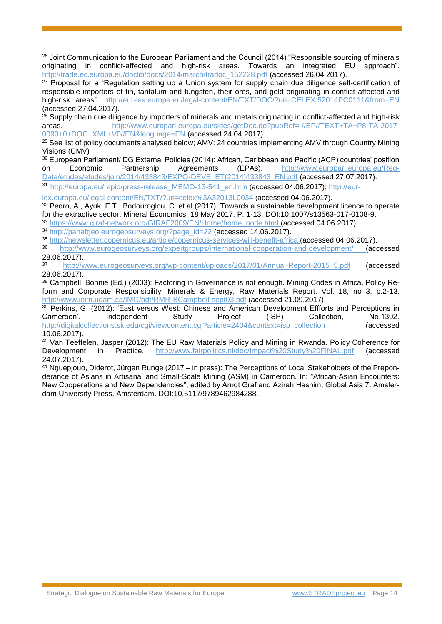<sup>26</sup> Joint Communication to the European Parliament and the Council (2014) "Responsible sourcing of minerals originating in conflict-affected and high-risk areas. Towards an integrated EU approach". [http://trade.ec.europa.eu/doclib/docs/2014/march/tradoc\\_152228.pdf](http://trade.ec.europa.eu/doclib/docs/2014/march/tradoc_152228.pdf) (accessed 26.04.2017).

<sup>27</sup> Proposal for a "Regulation setting up a Union system for supply chain due diligence self-certification of responsible importers of tin, tantalum and tungsten, their ores, and gold originating in conflict-affected and high-risk areas". <http://eur-lex.europa.eu/legal-content/EN/TXT/DOC/?uri=CELEX:52014PC0111&from=EN> (accessed 27.04.2017).

<sup>28</sup> Supply chain due diligence by importers of minerals and metals originating in conflict-affected and high-risk areas. [http://www.europarl.europa.eu/sides/getDoc.do?pubRef=-//EP//TEXT+TA+P8-TA-2017-](http://www.europarl.europa.eu/sides/getDoc.do?pubRef=-//EP//TEXT+TA+P8-TA-2017-0090+0+DOC+XML+V0//EN&language=EN) [0090+0+DOC+XML+V0//EN&language=EN](http://www.europarl.europa.eu/sides/getDoc.do?pubRef=-//EP//TEXT+TA+P8-TA-2017-0090+0+DOC+XML+V0//EN&language=EN) (accessed 24.04.2017)

 $29$  See list of policy documents analysed below; AMV: 24 countries implementing AMV through Country Mining Visions (CMV)

<sup>30</sup> European Parliament/ DG External Policies (2014): African, Caribbean and Pacific (ACP) countries' position on Economic Partnership Agreements (EPAs). [http://www.europarl.europa.eu/Reg-](http://www.europarl.europa.eu/RegData/etudes/etudes/join/2014/433843/EXPO-DEVE_ET(2014)433843_EN.pdf)[Data/etudes/etudes/join/2014/433843/EXPO-DEVE\\_ET\(2014\)433843\\_EN.pdf](http://www.europarl.europa.eu/RegData/etudes/etudes/join/2014/433843/EXPO-DEVE_ET(2014)433843_EN.pdf) (accessed 27.07.2017).

31 [http://europa.eu/rapid/press-release\\_MEMO-13-541\\_en.htm](http://europa.eu/rapid/press-release_MEMO-13-541_en.htm) (accessed 04.06.2017); [http://eur-](http://eur-lex.europa.eu/legal-content/EN/TXT/?uri=celex%3A32013L0034)

[lex.europa.eu/legal-content/EN/TXT/?uri=celex%3A32013L0034](http://eur-lex.europa.eu/legal-content/EN/TXT/?uri=celex%3A32013L0034) (accessed 04.06.2017).

<sup>32</sup> Pedro, A., Ayuk, E.T., Bodouroglou, C. et al (2017): Towards a sustainable development licence to operate for the extractive sector. Mineral Economics. 18 May 2017. P. 1-13. DOI:10.1007/s13563-017-0108-9.

<sup>33</sup> [https://www.giraf-network.org/GIRAF2009/EN/Home/home\\_node.html](https://www.giraf-network.org/GIRAF2009/EN/Home/home_node.html) (accessed 04.06.2017).

<sup>34</sup> [http://panafgeo.eurogeosurveys.org/?page\\_id=22](http://panafgeo.eurogeosurveys.org/?page_id=22) (accessed 14.06.2017).

<sup>35</sup> <http://newsletter.copernicus.eu/article/copernicus-services-will-benefit-africa> (accessed 04.06.2017).

<sup>36</sup> <http://www.eurogeosurveys.org/expertgroups/international-cooperation-and-development/> (accessed  $28.06.2017$ ).

http://www.eurogeosurveys.org/wp-content/uploads/2017/01/Annual-Report-2015 5.pdf (accessed 28.06.2017).

<sup>38</sup> Campbell, Bonnie (Ed.) (2003): Factoring in Governance is not enough. Mining Codes in Africa, Policy Reform and Corporate Responsibility. Minerals & Energy, Raw Materials Report. Vol. 18, no 3, p.2-13. <http://www.ieim.uqam.ca/IMG/pdf/RMR-BCampbell-sept03.pdf> (accessed 21.09.2017).

<sup>39</sup> Perkins, G. (2012): 'East versus West: Chinese and American Development Effforts and Perceptions in Cameroon'. Independent Study Project (ISP) Collection. No.1392. Cameroon'. Independent Study Project (ISP) Collection, No.1392. [http://digitalcollections.sit.edu/cgi/viewcontent.cgi?article=2404&context=isp\\_collection](http://digitalcollections.sit.edu/cgi/viewcontent.cgi?article=2404&context=isp_collection) (accessed

10.06.2017).

<sup>40</sup> Van Teeffelen, Jasper (2012): The EU Raw Materials Policy and Mining in Rwanda. Policy Coherence for Development in Practice. <http://www.fairpolitics.nl/doc/Impact%20Study%20FINAL.pdf> (accessed 24.07.2017).

<sup>41</sup> Nguepjouo, Diderot, Jürgen Runge (2017 – in press): The Perceptions of Local Stakeholders of the Preponderance of Asians in Artisanal and Small-Scale Mining (ASM) in Cameroon. In: "African-Asian Encounters: New Cooperations and New Dependencies", edited by Arndt Graf and Azirah Hashim, Global Asia 7. Amsterdam University Press, Amsterdam. DOI:10.5117/9789462984288.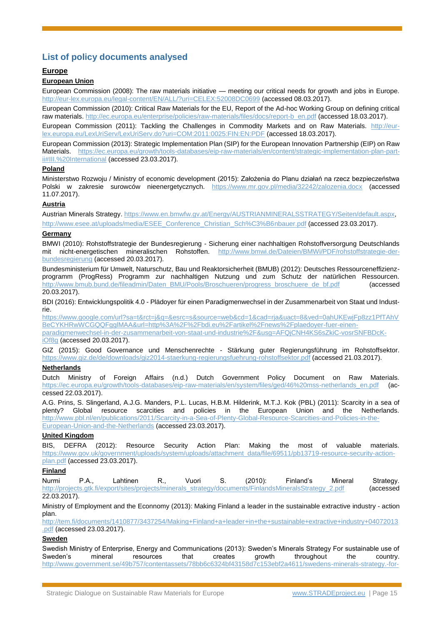# **List of policy documents analysed**

# **Europe**

## **European Union**

European Commission (2008): The raw materials initiative — meeting our critical needs for growth and jobs in Europe. <http://eur-lex.europa.eu/legal-content/EN/ALL/?uri=CELEX:52008DC0699> (accessed 08.03.2017).

European Commission (2010): Critical Raw Materials for the EU, Report of the Ad-hoc Working Group on defining critical raw materials. [http://ec.europa.eu/enterprise/policies/raw-materials/files/docs/report-b\\_en.pdf](http://ec.europa.eu/enterprise/policies/raw-materials/files/docs/report-b_en.pdf) (accessed 18.03.2017).

European Commission (2011): Tackling the Challenges in Commodity Markets and on Raw Materials. [http://eur](http://eur-lex.europa.eu/LexUriServ/LexUriServ.do?uri=COM:2011:0025:FIN:EN:PDF)[lex.europa.eu/LexUriServ/LexUriServ.do?uri=COM:2011:0025:FIN:EN:PDF](http://eur-lex.europa.eu/LexUriServ/LexUriServ.do?uri=COM:2011:0025:FIN:EN:PDF) (accessed 18.03.2017).

European Commission (2013): Strategic Implementation Plan (SIP) for the European Innovation Partnership (EIP) on Raw Materials. [https://ec.europa.eu/growth/tools-databases/eip-raw-materials/en/content/strategic-implementation-plan-part](https://ec.europa.eu/growth/tools-databases/eip-raw-materials/en/content/strategic-implementation-plan-part-ii#III.%20International)[ii#III.%20International](https://ec.europa.eu/growth/tools-databases/eip-raw-materials/en/content/strategic-implementation-plan-part-ii#III.%20International) (accessed 23.03.2017).

# **Poland**

Ministerstwo Rozwoju / Ministry of economic development (2015): Założenia do Planu działań na rzecz bezpieczeństwa Polski w zakresie surowców nieenergetycznych. <https://www.mr.gov.pl/media/32242/zalozenia.docx> (accessed 11.07.2017).

## **Austria**

Austrian Minerals Strategy[. https://www.en.bmwfw.gv.at/Energy/AUSTRIANMINERALSSTRATEGY/Seiten/default.aspx,](https://www.en.bmwfw.gv.at/Energy/AUSTRIANMINERALSSTRATEGY/Seiten/default.aspx)

[http://www.esee.at/uploads/media/ESEE\\_Conference\\_Christian\\_Sch%C3%B6nbauer.pdf](http://www.esee.at/uploads/media/ESEE_Conference_Christian_Sch%C3%B6nbauer.pdf) (accessed 23.03.2017).

# **Germany**

BMWI (2010): Rohstoffstrategie der Bundesregierung - Sicherung einer nachhaltigen Rohstoffversorgung Deutschlands mit nicht-energetischen mineralischen Rohstoffen. [http://www.bmwi.de/Dateien/BMWi/PDF/rohstoffstrategie-der](http://www.bmwi.de/Dateien/BMWi/PDF/rohstoffstrategie-der-bundesregierung)[bundesregierung](http://www.bmwi.de/Dateien/BMWi/PDF/rohstoffstrategie-der-bundesregierung) (accessed 20.03.2017).

Bundesministerium für Umwelt, Naturschutz, Bau und Reaktorsicherheit (BMUB) (2012): Deutsches Ressourceneffizienzprogramm (ProgRess) Programm zur nachhaltigen Nutzung und zum Schutz der natürlichen Ressourcen. [http://www.bmub.bund.de/fileadmin/Daten\\_BMU/Pools/Broschueren/progress\\_broschuere\\_de\\_bf.pdf](http://www.bmub.bund.de/fileadmin/Daten_BMU/Pools/Broschueren/progress_broschuere_de_bf.pdf) (accessed 20.03.2017).

BDI (2016): Entwicklungspolitik 4.0 - Plädoyer für einen Paradigmenwechsel in der Zusammenarbeit von Staat und Industrie.

[https://www.google.com/url?sa=t&rct=j&q=&esrc=s&source=web&cd=1&cad=rja&uact=8&ved=0ahUKEwjFp8zz1PfTAhV](https://www.google.com/url?sa=t&rct=j&q=&esrc=s&source=web&cd=1&cad=rja&uact=8&ved=0ahUKEwjFp8zz1PfTAhVBeCYKHRwWCGQQFgglMAA&url=http%3A%2F%2Fbdi.eu%2Fartikel%2Fnews%2Fplaedoyer-fuer-einen-paradigmenwechsel-in-der-zusammenarbeit-von-staat-und-industrie%2F&usg=AFQjCNH4KS6sZkiC-vosrSNFBDcK-iOf8g) [BeCYKHRwWCGQQFgglMAA&url=http%3A%2F%2Fbdi.eu%2Fartikel%2Fnews%2Fplaedoyer-fuer-einen](https://www.google.com/url?sa=t&rct=j&q=&esrc=s&source=web&cd=1&cad=rja&uact=8&ved=0ahUKEwjFp8zz1PfTAhVBeCYKHRwWCGQQFgglMAA&url=http%3A%2F%2Fbdi.eu%2Fartikel%2Fnews%2Fplaedoyer-fuer-einen-paradigmenwechsel-in-der-zusammenarbeit-von-staat-und-industrie%2F&usg=AFQjCNH4KS6sZkiC-vosrSNFBDcK-iOf8g)[paradigmenwechsel-in-der-zusammenarbeit-von-staat-und-industrie%2F&usg=AFQjCNH4KS6sZkiC-vosrSNFBDcK](https://www.google.com/url?sa=t&rct=j&q=&esrc=s&source=web&cd=1&cad=rja&uact=8&ved=0ahUKEwjFp8zz1PfTAhVBeCYKHRwWCGQQFgglMAA&url=http%3A%2F%2Fbdi.eu%2Fartikel%2Fnews%2Fplaedoyer-fuer-einen-paradigmenwechsel-in-der-zusammenarbeit-von-staat-und-industrie%2F&usg=AFQjCNH4KS6sZkiC-vosrSNFBDcK-iOf8g)[iOf8g](https://www.google.com/url?sa=t&rct=j&q=&esrc=s&source=web&cd=1&cad=rja&uact=8&ved=0ahUKEwjFp8zz1PfTAhVBeCYKHRwWCGQQFgglMAA&url=http%3A%2F%2Fbdi.eu%2Fartikel%2Fnews%2Fplaedoyer-fuer-einen-paradigmenwechsel-in-der-zusammenarbeit-von-staat-und-industrie%2F&usg=AFQjCNH4KS6sZkiC-vosrSNFBDcK-iOf8g) (accessed 20.03.2017).

GIZ (2015): Good Governance und Menschenrechte - Stärkung guter Regierungsführung im Rohstoffsektor. <https://www.giz.de/de/downloads/giz2014-staerkung-regierungsfuehrung-rohstoffsektor.pdf> (accessed 21.03.2017).

## **Netherlands**

Dutch Ministry of Foreign Affairs (n.d.) Dutch Government Policy Document on Raw Materials. [https://ec.europa.eu/growth/tools-databases/eip-raw-materials/en/system/files/ged/46%20mss-netherlands\\_en.pdf](https://ec.europa.eu/growth/tools-databases/eip-raw-materials/en/system/files/ged/46%20mss-netherlands_en.pdf) (accessed 22.03.2017).

A.G. Prins, S. Slingerland, A.J.G. Manders, P.L. Lucas, H.B.M. Hilderink, M.T.J. Kok (PBL) (2011): Scarcity in a sea of plenty? Global resource scarcities and policies in the European Union and the Netherlands. [http://www.pbl.nl/en/publications/2011/Scarcity-in-a-Sea-of-Plenty-Global-Resource-Scarcities-and-Policies-in-the-](http://www.pbl.nl/en/publications/2011/Scarcity-in-a-Sea-of-Plenty-Global-Resource-Scarcities-and-Policies-in-the-European-Union-and-the-Netherlands)[European-Union-and-the-Netherlands](http://www.pbl.nl/en/publications/2011/Scarcity-in-a-Sea-of-Plenty-Global-Resource-Scarcities-and-Policies-in-the-European-Union-and-the-Netherlands) (accessed 23.03.2017).

## **United Kingdom**

BIS, DEFRA (2012): Resource Security Action Plan: Making the most of valuable materials. [https://www.gov.uk/government/uploads/system/uploads/attachment\\_data/file/69511/pb13719-resource-security-action](https://www.gov.uk/government/uploads/system/uploads/attachment_data/file/69511/pb13719-resource-security-action-plan.pdf)[plan.pdf](https://www.gov.uk/government/uploads/system/uploads/attachment_data/file/69511/pb13719-resource-security-action-plan.pdf) (accessed 23.03.2017).

## **Finland**

Nurmi P.A., Lahtinen R., Vuori S. (2010): Finland's Mineral Strategy. [http://projects.gtk.fi/export/sites/projects/minerals\\_strategy/documents/FinlandsMineralsStrategy\\_2.pdf](http://projects.gtk.fi/export/sites/projects/minerals_strategy/documents/FinlandsMineralsStrategy_2.pdf) (accessed 22.03.2017).

Ministry of Employment and the Econnomy (2013): Making Finland a leader in the sustainable extractive industry - action plan.

[http://tem.fi/documents/1410877/3437254/Making+Finland+a+leader+in+the+sustainable+extractive+industry+04072013](http://tem.fi/documents/1410877/3437254/Making+Finland+a+leader+in+the+sustainable+extractive+industry+04072013.pdf) [.pdf](http://tem.fi/documents/1410877/3437254/Making+Finland+a+leader+in+the+sustainable+extractive+industry+04072013.pdf) (accessed 23.03.2017).

## **Sweden**

Swedish Ministry of Enterprise, Energy and Communications (2013): Sweden's Minerals Strategy For sustainable use of Sweden's mineral resources that creates growth throughout the country. [http://www.government.se/49b757/contentassets/78bb6c6324bf43158d7c153ebf2a4611/swedens-minerals-strategy.-for-](http://www.government.se/49b757/contentassets/78bb6c6324bf43158d7c153ebf2a4611/swedens-minerals-strategy.-for-sustainable-use-of-swedens-mineral-resources-that-creates-growth-throughout-the-country-complete-version)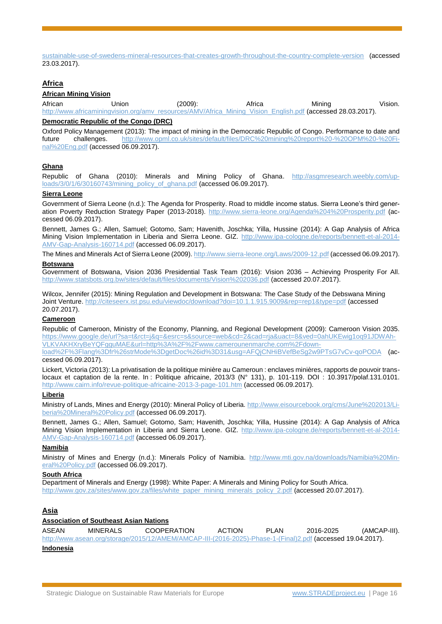[sustainable-use-of-swedens-mineral-resources-that-creates-growth-throughout-the-country-complete-version](http://www.government.se/49b757/contentassets/78bb6c6324bf43158d7c153ebf2a4611/swedens-minerals-strategy.-for-sustainable-use-of-swedens-mineral-resources-that-creates-growth-throughout-the-country-complete-version) (accessed 23.03.2017).

# **Africa**

#### **African Mining Vision**

African Union (2009): Africa Mining Vision. [http://www.africaminingvision.org/amv\\_resources/AMV/Africa\\_Mining\\_Vision\\_English.pdf](http://www.africaminingvision.org/amv_resources/AMV/Africa_Mining_Vision_English.pdf) (accessed 28.03.2017).

#### **Democratic Republic of the Congo (DRC)**

Oxford Policy Management (2013): The impact of mining in the Democratic Republic of Congo. Performance to date and future challenges. [http://www.opml.co.uk/sites/default/files/DRC%20mining%20report%20-%20OPM%20-%20Fi](http://www.opml.co.uk/sites/default/files/DRC%20mining%20report%20-%20OPM%20-%20Final%20Eng.pdf)[nal%20Eng.pdf](http://www.opml.co.uk/sites/default/files/DRC%20mining%20report%20-%20OPM%20-%20Final%20Eng.pdf) (accessed 06.09.2017).

#### **Ghana**

Republic of Ghana (2010): Minerals and Mining Policy of Ghana. [http://asgmresearch.weebly.com/up](http://asgmresearch.weebly.com/uploads/3/0/1/6/30160743/mining_policy_of_ghana.pdf)[loads/3/0/1/6/30160743/mining\\_policy\\_of\\_ghana.pdf](http://asgmresearch.weebly.com/uploads/3/0/1/6/30160743/mining_policy_of_ghana.pdf) (accessed 06.09.2017).

#### **Sierra Leone**

Government of Sierra Leone (n.d.): The Agenda for Prosperity. Road to middle income status. Sierra Leone's third generation Poverty Reduction Strategy Paper (2013-2018). <http://www.sierra-leone.org/Agenda%204%20Prosperity.pdf> (accessed 06.09.2017).

Bennett, James G.; Allen, Samuel; Gotomo, Sam; Havenith, Joschka; Yilla, Hussine (2014): A Gap Analysis of Africa Mining Vision Implementation in Liberia and Sierra Leone. GIZ. [http://www.ipa-cologne.de/reports/bennett-et-al-2014-](http://www.ipa-cologne.de/reports/bennett-et-al-2014-AMV-Gap-Analysis-160714.pdf) [AMV-Gap-Analysis-160714.pdf](http://www.ipa-cologne.de/reports/bennett-et-al-2014-AMV-Gap-Analysis-160714.pdf) (accessed 06.09.2017).

The Mines and Minerals Act of Sierra Leone (2009)[. http://www.sierra-leone.org/Laws/2009-12.pdf](http://www.sierra-leone.org/Laws/2009-12.pdf) (accessed 06.09.2017).

#### **Botswana**

Government of Botswana, Vision 2036 Presidential Task Team (2016): Vision 2036 – Achieving Prosperity For All. <http://www.statsbots.org.bw/sites/default/files/documents/Vision%202036.pdf> (accessed 20.07.2017).

Wilcox, Jennifer (2015): Mining Regulation and Development in Botswana: The Case Study of the Debswana Mining Joint Venture. <http://citeseerx.ist.psu.edu/viewdoc/download?doi=10.1.1.915.9009&rep=rep1&type=pdf> (accessed 20.07.2017).

#### **Cameroon**

Republic of Cameroon, Ministry of the Economy, Planning, and Regional Development (2009): Cameroon Vision 2035. [https://www.google.de/url?sa=t&rct=j&q=&esrc=s&source=web&cd=2&cad=rja&uact=8&ved=0ahUKEwig1oq91JDWAh-](https://www.google.de/url?sa=t&rct=j&q=&esrc=s&source=web&cd=2&cad=rja&uact=8&ved=0ahUKEwig1oq91JDWAhVLKVAKHXryBeYQFgguMAE&url=http%3A%2F%2Fwww.camerounenmarche.com%2Fdownload%2F%3Flang%3Dfr%26strMode%3DgetDoc%26id%3D31&usg=AFQjCNHiBVefBeSg2w9PTsG7vCv-qoPODA)[VLKVAKHXryBeYQFgguMAE&url=http%3A%2F%2Fwww.camerounenmarche.com%2Fdown-](https://www.google.de/url?sa=t&rct=j&q=&esrc=s&source=web&cd=2&cad=rja&uact=8&ved=0ahUKEwig1oq91JDWAhVLKVAKHXryBeYQFgguMAE&url=http%3A%2F%2Fwww.camerounenmarche.com%2Fdownload%2F%3Flang%3Dfr%26strMode%3DgetDoc%26id%3D31&usg=AFQjCNHiBVefBeSg2w9PTsG7vCv-qoPODA)

[load%2F%3Flang%3Dfr%26strMode%3DgetDoc%26id%3D31&usg=AFQjCNHiBVefBeSg2w9PTsG7vCv-qoPODA](https://www.google.de/url?sa=t&rct=j&q=&esrc=s&source=web&cd=2&cad=rja&uact=8&ved=0ahUKEwig1oq91JDWAhVLKVAKHXryBeYQFgguMAE&url=http%3A%2F%2Fwww.camerounenmarche.com%2Fdownload%2F%3Flang%3Dfr%26strMode%3DgetDoc%26id%3D31&usg=AFQjCNHiBVefBeSg2w9PTsG7vCv-qoPODA) (accessed 06.09.2017).

Lickert, Victoria (2013): La privatisation de la politique minière au Cameroun : enclaves minières, rapports de pouvoir translocaux et captation de la rente. In : Politique africaine, 2013/3 (N° 131), p. 101-119. DOI : 10.3917/polaf.131.0101. <http://www.cairn.info/revue-politique-africaine-2013-3-page-101.htm> (accessed 06.09.2017).

#### **Liberia**

Ministry of Lands, Mines and Energy (2010): Mineral Policy of Liberia. [http://www.eisourcebook.org/cms/June%202013/Li](http://www.eisourcebook.org/cms/June%202013/Liberia%20Mineral%20Policy.pdf)[beria%20Mineral%20Policy.pdf](http://www.eisourcebook.org/cms/June%202013/Liberia%20Mineral%20Policy.pdf) (accessed 06.09.2017).

Bennett, James G.; Allen, Samuel; Gotomo, Sam; Havenith, Joschka; Yilla, Hussine (2014): A Gap Analysis of Africa Mining Vision Implementation in Liberia and Sierra Leone. GIZ. [http://www.ipa-cologne.de/reports/bennett-et-al-2014-](http://www.ipa-cologne.de/reports/bennett-et-al-2014-AMV-Gap-Analysis-160714.pdf) [AMV-Gap-Analysis-160714.pdf](http://www.ipa-cologne.de/reports/bennett-et-al-2014-AMV-Gap-Analysis-160714.pdf) (accessed 06.09.2017).

#### **Namibia**

Ministry of Mines and Energy (n.d.): Minerals Policy of Namibia. [http://www.mti.gov.na/downloads/Namibia%20Min](http://www.mti.gov.na/downloads/Namibia%20Mineral%20Policy.pdf)[eral%20Policy.pdf](http://www.mti.gov.na/downloads/Namibia%20Mineral%20Policy.pdf) (accessed 06.09.2017).

#### **South Africa**

Department of Minerals and Energy (1998): White Paper: A Minerals and Mining Policy for South Africa. [http://www.gov.za/sites/www.gov.za/files/white\\_paper\\_mining\\_minerals\\_policy\\_2.pdf](http://www.gov.za/sites/www.gov.za/files/white_paper_mining_minerals_policy_2.pdf) (accessed 20.07.2017).

## **Asia**

## **Association of Southeast Asian Nations**

ASEAN MINERALS COOPERATION ACTION PLAN 2016-2025 (AMCAP-III). [http://www.asean.org/storage/2015/12/AMEM/AMCAP-III-\(2016-2025\)-Phase-1-\(Final\)2.pdf](http://www.asean.org/storage/2015/12/AMEM/AMCAP-III-(2016-2025)-Phase-1-(Final)2.pdf) (accessed 19.04.2017).

#### **Indonesia**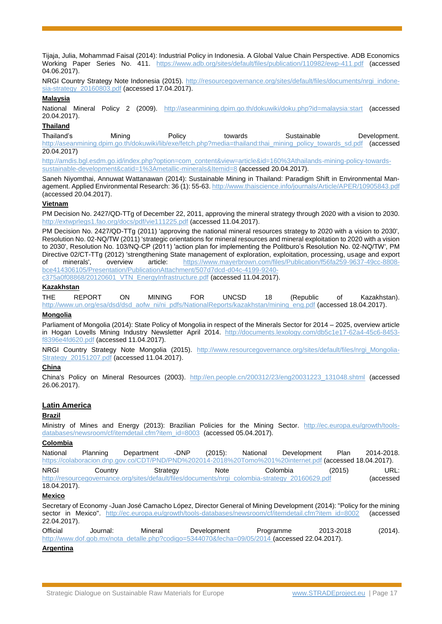Tijaja, Julia, Mohammad Faisal (2014): Industrial Policy in Indonesia. A Global Value Chain Perspective. ADB Economics Working Paper Series No. 411. <https://www.adb.org/sites/default/files/publication/110982/ewp-411.pdf> (accessed 04.06.2017).

NRGI Country Strategy Note Indonesia (2015). [http://resourcegovernance.org/sites/default/files/documents/nrgi\\_indone](http://resourcegovernance.org/sites/default/files/documents/nrgi_indonesia-strategy_20160803.pdf)[sia-strategy\\_20160803.pdf](http://resourcegovernance.org/sites/default/files/documents/nrgi_indonesia-strategy_20160803.pdf) (accessed 17.04.2017).

#### **Malaysia**

National Mineral Policy 2 (2009). <http://aseanmining.dpim.go.th/dokuwiki/doku.php?id=malaysia:start> (accessed 20.04.2017).

#### **Thailand**

Thailand's Mining Policy towards Sustainable Development. [http://aseanmining.dpim.go.th/dokuwiki/lib/exe/fetch.php?media=thailand:thai\\_mining\\_policy\\_towards\\_sd.pdf](http://aseanmining.dpim.go.th/dokuwiki/lib/exe/fetch.php?media=thailand:thai_mining_policy_towards_sd.pdf) (accessed 20.04.2017)

[http://amdis.bgl.esdm.go.id/index.php?option=com\\_content&view=article&id=160%3Athailands-mining-policy-towards](http://amdis.bgl.esdm.go.id/index.php?option=com_content&view=article&id=160%3Athailands-mining-policy-towards-sustainable-development&catid=1%3Ametallic-minerals&Itemid=8)[sustainable-development&catid=1%3Ametallic-minerals&Itemid=8](http://amdis.bgl.esdm.go.id/index.php?option=com_content&view=article&id=160%3Athailands-mining-policy-towards-sustainable-development&catid=1%3Ametallic-minerals&Itemid=8) (accessed 20.04.2017).

Saneh Niyomthai, Annuwat Wattanawan (2014): Sustainable Mining in Thailand: Paradigm Shift in Environmental Management. Applied Environmental Research: 36 (1): 55-63.<http://www.thaiscience.info/journals/Article/APER/10905843.pdf> (accessed 20.04.2017).

#### **Vietnam**

PM Decision No. 2427/QD-TTg of December 22, 2011, approving the mineral strategy through 2020 with a vision to 2030. <http://extwprlegs1.fao.org/docs/pdf/vie111225.pdf> (accessed 11.04.2017).

PM Decision No. 2427/QD-TTg (2011) 'approving the national mineral resources strategy to 2020 with a vision to 2030', Resolution No. 02-NQ/TW (2011) 'strategic orientations for mineral resources and mineral exploitation to 2020 with a vision to 2030', Resolution No. 103/NQ-CP (2011) 'action plan for implementing the Politburo's Resolution No. 02-NQ/TW', PM Directive 02/CT-TTg (2012) 'strengthening State management of exploration, exploitation, processing, usage and export of minerals', overview article: [https://www.mayerbrown.com/files/Publication/f56fa259-9637-49cc-8808](https://www.mayerbrown.com/files/Publication/f56fa259-9637-49cc-8808-bce414306105/Presentation/PublicationAttachment/507d7dcd-d04c-4199-9240-c375a0f08868/20120601_VTN_EnergyInfrastructure.pdf) [bce414306105/Presentation/PublicationAttachment/507d7dcd-d04c-4199-9240-](https://www.mayerbrown.com/files/Publication/f56fa259-9637-49cc-8808-bce414306105/Presentation/PublicationAttachment/507d7dcd-d04c-4199-9240-c375a0f08868/20120601_VTN_EnergyInfrastructure.pdf)

[c375a0f08868/20120601\\_VTN\\_EnergyInfrastructure.pdf](https://www.mayerbrown.com/files/Publication/f56fa259-9637-49cc-8808-bce414306105/Presentation/PublicationAttachment/507d7dcd-d04c-4199-9240-c375a0f08868/20120601_VTN_EnergyInfrastructure.pdf) (accessed 11.04.2017).

#### **Kazakhstan**

THE REPORT ON MINING FOR UNCSD 18 (Republic of Kazakhstan). [http://www.un.org/esa/dsd/dsd\\_aofw\\_ni/ni\\_pdfs/NationalReports/kazakhstan/mining\\_eng.pdf](http://www.un.org/esa/dsd/dsd_aofw_ni/ni_pdfs/NationalReports/kazakhstan/mining_eng.pdf) (accessed 18.04.2017).

# **Mongolia**

Parliament of Mongolia (2014): State Policy of Mongolia in respect of the Minerals Sector for 2014 – 2025, overview article in Hogan Lovells Mining Industry Newsletter April 2014. [http://documents.lexology.com/db5c1e17-62a4-45c6-8453](http://documents.lexology.com/db5c1e17-62a4-45c6-8453-f8396e4fd620.pdf) [f8396e4fd620.pdf](http://documents.lexology.com/db5c1e17-62a4-45c6-8453-f8396e4fd620.pdf) (accessed 11.04.2017).

NRGI Country Strategy Note Mongolia (2015). [http://www.resourcegovernance.org/sites/default/files/nrgi\\_Mongolia-](http://www.resourcegovernance.org/sites/default/files/nrgi_Mongolia-Strategy_20151207.pdf)[Strategy\\_20151207.pdf](http://www.resourcegovernance.org/sites/default/files/nrgi_Mongolia-Strategy_20151207.pdf) (accessed 11.04.2017).

## **China**

China's Policy on Mineral Resources (2003). [http://en.people.cn/200312/23/eng20031223\\_131048.shtml](http://en.people.cn/200312/23/eng20031223_131048.shtml) (accessed 26.06.2017).

## **Latin America**

## **Brazil**

Ministry of Mines and Energy (2013): Brazilian Policies for the Mining Sector. [http://ec.europa.eu/growth/tools](http://ec.europa.eu/growth/tools-databases/newsroom/cf/itemdetail.cfm?item_id=8003)[databases/newsroom/cf/itemdetail.cfm?item\\_id=8003](http://ec.europa.eu/growth/tools-databases/newsroom/cf/itemdetail.cfm?item_id=8003) (accessed 05.04.2017).

# **Colombia**

| National     | Planning | Department | $(2015)$ :<br>-DNP | National                                                                                                 | Development | Plan   | 2014-2018. |
|--------------|----------|------------|--------------------|----------------------------------------------------------------------------------------------------------|-------------|--------|------------|
|              |          |            |                    | https://colaboracion.dnp.gov.co/CDT/PND/PND%202014-2018%20Tomo%201%20internet.pdf (accessed 18.04.2017). |             |        |            |
| <b>NRGI</b>  | Country  | Strategy   | Note               | Colombia                                                                                                 |             | (2015) | URL:       |
|              |          |            |                    | http://resourcegovernance.org/sites/default/files/documents/nrgi_colombia-strategy_20160629.pdf          |             |        | (accessed  |
| 18.04.2017). |          |            |                    |                                                                                                          |             |        |            |

#### **Mexico**

Secretary of Economy -Juan José Camacho López, Director General of Mining Development (2014): "Policy for the mining sector in Mexico". [http://ec.europa.eu/growth/tools-databases/newsroom/cf/itemdetail.cfm?item\\_id=8002](http://ec.europa.eu/growth/tools-databases/newsroom/cf/itemdetail.cfm?item_id=8002) (accessed 22.04.2017).

Official Journal: Mineral Development Programme 2013-2018 (2014). [http://www.dof.gob.mx/nota\\_detalle.php?codigo=5344070&fecha=09/05/2014](http://www.dof.gob.mx/nota_detalle.php?codigo=5344070&fecha=09/05/2014) (accessed 22.04.2017).

#### **Argentina**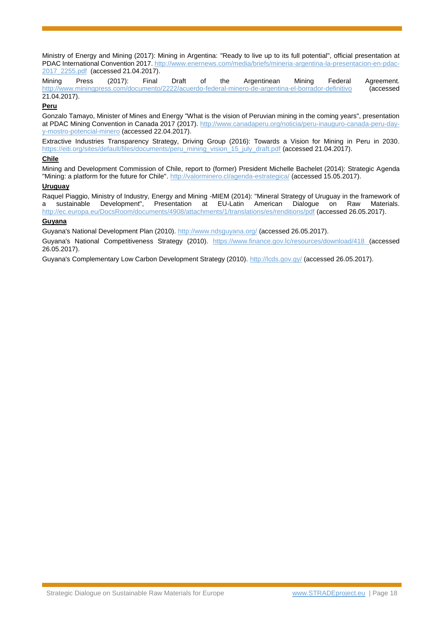Ministry of Energy and Mining (2017): Mining in Argentina: "Ready to live up to its full potential", official presentation at PDAC International Convention 2017. [http://www.enernews.com/media/briefs/mineria-argentina-la-presentacion-en-pdac-](http://www.enernews.com/media/briefs/mineria-argentina-la-presentacion-en-pdac-2017_2255.pdf)[2017\\_2255.pdf](http://www.enernews.com/media/briefs/mineria-argentina-la-presentacion-en-pdac-2017_2255.pdf) (accessed 21.04.2017).

Mining Press (2017): Final Draft of the Argentinean Mining Federal Agreement. <http://www.miningpress.com/documento/2222/acuerdo-federal-minero-de-argentina-el-borrador-definitivo>(accessed 21.04.2017).

#### **Peru**

Gonzalo Tamayo, Minister of Mines and Energy "What is the vision of Peruvian mining in the coming years", presentation at PDAC Mining Convention in Canada 2017 (2017). [http://www.canadaperu.org/noticia/peru-inauguro-canada-peru-day](http://www.canadaperu.org/noticia/peru-inauguro-canada-peru-day-y-mostro-potencial-minero)[y-mostro-potencial-minero](http://www.canadaperu.org/noticia/peru-inauguro-canada-peru-day-y-mostro-potencial-minero) (accessed 22.04.2017).

Extractive Industries Transparency Strategy, Driving Group (2016): Towards a Vision for Mining in Peru in 2030. [https://eiti.org/sites/default/files/documents/peru\\_mining\\_vision\\_15\\_july\\_draft.pdf](https://eiti.org/sites/default/files/documents/peru_mining_vision_15_july_draft.pdf) (accessed 21.04.2017).

## **Chile**

Mining and Development Commission of Chile, report to (former) President Michelle Bachelet (2014): Strategic Agenda "Mining: a platform for the future for Chile". <http://valorminero.cl/agenda-estrategica/> (accessed 15.05.2017).

## **Uruguay**

Raquel Piaggio, Ministry of Industry, Energy and Mining -MIEM (2014): "Mineral Strategy of Uruguay in the framework of a sustainable Development", Presentation at EU-Latin American Dialogue on Raw Materials. <http://ec.europa.eu/DocsRoom/documents/4908/attachments/1/translations/es/renditions/pdf> (accessed 26.05.2017).

# **Guyana**

Guyana's National Development Plan (2010)[. http://www.ndsguyana.org/](http://www.ndsguyana.org/) (accessed 26.05.2017).

Guyana's National Competitiveness Strategy (2010). <https://www.finance.gov.lc/resources/download/418> (accessed 26.05.2017).

Guyana's Complementary Low Carbon Development Strategy (2010).<http://lcds.gov.gy/> (accessed 26.05.2017).